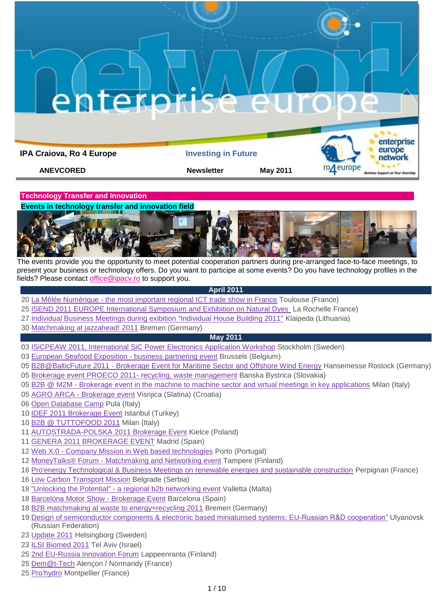**IPA Craiova, Ro 4 Europe Investing in Future** 

**ANEVCORED Newsletter May 2011** 



**Technology Transfer and Innovation** 

**Events in technology transfer and innovation field**



The events provide you the opportunity to meet potential cooperation partners during pre-arranged face-to-face meetings, to present your business or technology offers. Do you want to participe at some events? Do you have technology profiles in the fields? Please contact [office@ipacv.ro](mailto:office@ipacv.ro) to support you.

# **April 2011**

- 20 La Mêlée Numérique [the most important regional ICT trade show in France](http://www.enterprise-europe-network.ec.europa.eu/publicwebsite/calendar/viewdetails.cfm?EventID=2553&type=future) Toulouse (France)
- [ISEND 2011 EUROPE International Symposium and Exhibition on Natural Dyes](http://www.enterprise-europe-network.ec.europa.eu/publicwebsite/calendar/viewdetails.cfm?EventID=2619&type=future) La Rochelle France)
- [Individual Business Meetings during exibition "Individual House Building 2011"](http://www.enterprise-europe-network.ec.europa.eu/publicwebsite/calendar/viewdetails.cfm?EventID=2636&type=future) Klaipeda (Lithuania)
- [Matchmaking at jazzahead! 2011](http://www.enterprise-europe-network.ec.europa.eu/publicwebsite/calendar/viewdetails.cfm?EventID=2627&type=future) Bremen (Germany)

# **May 2011**

- [ISiCPEAW 2011, International SiC Power Electronics Application Workshop](http://www.enterprise-europe-network.ec.europa.eu/publicwebsite/calendar/viewdetails.cfm?EventID=2660&type=future) Stockholm (Sweden)
- [European Seafood Exposition -](http://www.enterprise-europe-network.ec.europa.eu/publicwebsite/bemt/home.cfm?EventID=2572) business partnering event Brussels (Belgium)
- B2B@BalticFuture 2011 [Brokerage Event for Maritime Sector and Offshore Wind Energy](http://www.enterprise-europe-network.ec.europa.eu/publicwebsite/calendar/viewdetails.cfm?EventID=2531&type=future) Hansemesse Rostock (Germany)
- [Brokerage event PROECO 2011-](http://www.enterprise-europe-network.ec.europa.eu/publicwebsite/bemt/home.cfm?EventID=2597) recycling, waste management Banska Bystrica (Slovakia)
- B2B @ M2M [Brokerage event in the machine to machine sector and virtual meetings in key applications](http://www.enterprise-europe-network.ec.europa.eu/publicwebsite/calendar/viewdetails.cfm?EventID=2629&type=future) Milan (Italy)
- AGRO ARCA [Brokerage event](http://www.enterprise-europe-network.ec.europa.eu/publicwebsite/bemt/home.cfm?EventID=2617) Visnjica (Slatina) (Croatia)
- [Open Database Camp](http://www.enterprise-europe-network.ec.europa.eu/publicwebsite/calendar/viewdetails.cfm?EventID=2643&type=future) Pula (Italy)
- [IDEF 2011 Brokerage Event](http://www.enterprise-europe-network.ec.europa.eu/publicwebsite/bemt/home.cfm?EventID=2663) Istanbul (Turkey)
- [B2B @ TUTTOFOOD 2011](http://www.enterprise-europe-network.ec.europa.eu/publicwebsite/calendar/viewdetails.cfm?EventID=2637&type=future) Milan (Italy)
- [AUTOSTRADA-POLSKA 2011 Brokerage Event](http://www.enterprise-europe-network.ec.europa.eu/publicwebsite/bemt/home.cfm?EventID=2607) Kielce (Poland)
- [GENERA 2011 BROKERAGE EVENT](http://www.enterprise-europe-network.ec.europa.eu/publicwebsite/calendar/viewdetails.cfm?EventID=2555&type=future) Madrid (Spain)
- Web X.0 [Company Mission in Web based technologies](http://www.enterprise-europe-network.ec.europa.eu/publicwebsite/bemt/home.cfm?EventID=2631) Porto (Portugal)
- MoneyTalks® Forum [Matchmaking and Networking event](http://www.enterprise-europe-network.ec.europa.eu/publicwebsite/calendar/viewdetails.cfm?EventID=2665&type=future) Tampere (Finland)
- [Pro'energy Technological & Business Meetings on renewable energies and sustainable construction](http://www.enterprise-europe-network.ec.europa.eu/publicwebsite/bemt/home.cfm?EventID=2657) Perpignan (France)
- [Low Carbon Transport Mission](http://www.enterprise-europe-network.ec.europa.eu/publicwebsite/calendar/viewdetails.cfm?EventID=2639&type=future) Belgrade (Serbia)
- "Unlocking the Potential" [a regional b2b networking event](http://www.enterprise-europe-network.ec.europa.eu/publicwebsite/bemt/home.cfm?EventID=2539) Valletta (Malta)
- [Barcelona Motor Show -](http://www.enterprise-europe-network.ec.europa.eu/publicwebsite/bemt/home.cfm?EventID=2655) Brokerage Event Barcelona (Spain)
- [B2B matchmaking at waste to energy+recycling 2011](http://www.enterprise-europe-network.ec.europa.eu/publicwebsite/calendar/viewdetails.cfm?EventID=2628&type=future) Bremen (Germany)
- Design of semiconductor components & [electronic based miniaturised systems: EU-Russian R&D cooperation"](http://www.enterprise-europe-network.ec.europa.eu/publicwebsite/calendar/viewdetails.cfm?EventID=2614&type=future) Ulyanovsk (Russian Federation)
- [Update 2011](http://www.enterprise-europe-network.ec.europa.eu/publicwebsite/calendar/viewdetails.cfm?EventID=2609&type=future) Helsingborg (Sweden)
- [ILSI Biomed 2011](http://www.enterprise-europe-network.ec.europa.eu/publicwebsite/calendar/viewdetails.cfm?EventID=2559&type=future) Tel Aviv (Israel)
- [2nd EU-Russia Innovation Forum](http://www.enterprise-europe-network.ec.europa.eu/publicwebsite/calendar/viewdetails.cfm?EventID=2640&type=future) Lappeenranta (Finland)
- [Dem@t-Tech](http://www.enterprise-europe-network.ec.europa.eu/publicwebsite/calendar/viewdetails.cfm?EventID=2642&type=future) Alençon / Normandy (France)
- [Pro'hydro](http://www.enterprise-europe-network.ec.europa.eu/publicwebsite/bemt/home.cfm?EventID=2659) Montpellier (France)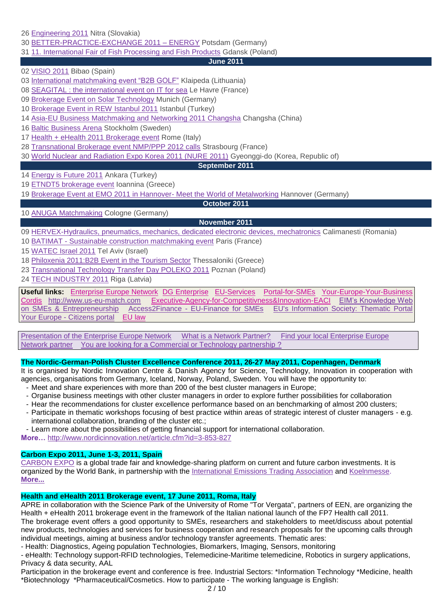26 [Engineering 2011](http://www.enterprise-europe-network.ec.europa.eu/publicwebsite/calendar/viewdetails.cfm?EventID=2613&type=future) Nitra (Slovakia)

30 [BETTER-PRACTICE-EXCHANGE 2011 –](http://www.enterprise-europe-network.ec.europa.eu/publicwebsite/calendar/viewdetails.cfm?EventID=2667&type=future) ENERGY Potsdam (Germany)

31 [11. International Fair of Fish Processing and Fish Products](http://www.enterprise-europe-network.ec.europa.eu/publicwebsite/calendar/viewdetails.cfm?EventID=2654&type=future) Gdansk (Poland)

**June 2011**

02 [VISIO 2011](http://www.enterprise-europe-network.ec.europa.eu/publicwebsite/bemt/home.cfm?EventID=2579) Bibao (Spain)

03 [International matchmaking event "B2B GOLF"](http://www.enterprise-europe-network.ec.europa.eu/publicwebsite/calendar/viewdetails.cfm?EventID=2601&type=future) Klaipeda (Lithuania)

08 [SEAGITAL : the international event on IT for sea](http://www.enterprise-europe-network.ec.europa.eu/publicwebsite/calendar/viewdetails.cfm?EventID=2620&type=future) Le Havre (France)

09 [Brokerage Event on Solar Technology](http://www.enterprise-europe-network.ec.europa.eu/publicwebsite/calendar/viewdetails.cfm?EventID=2563&type=future) Munich (Germany)

10 [Brokerage Event in REW Istanbul 2011](http://www.enterprise-europe-network.ec.europa.eu/publicwebsite/calendar/viewdetails.cfm?EventID=2650&type=future) Istanbul (Turkey)

14 [Asia-EU Business Matchmaking and Networking 2011 Changsha](http://www.enterprise-europe-network.ec.europa.eu/publicwebsite/bemt/home.cfm?EventID=2664) Changsha (China)

16 [Baltic Business Arena](http://www.enterprise-europe-network.ec.europa.eu/publicwebsite/calendar/viewdetails.cfm?EventID=2604&type=future) Stockholm (Sweden)

17 Health [+ eHealth 2011 Brokerage event](http://www.enterprise-europe-network.ec.europa.eu/publicwebsite/calendar/viewdetails.cfm?EventID=2653&type=future) Rome (Italy)

28 [Transnational Brokerage event NMP/PPP 2012 calls](http://www.enterprise-europe-network.ec.europa.eu/publicwebsite/calendar/viewdetails.cfm?EventID=2658&type=future) Strasbourg (France)

30 [World Nuclear and Radiation Expo Korea 2011 \(NURE 2011\)](http://www.enterprise-europe-network.ec.europa.eu/publicwebsite/calendar/viewdetails.cfm?EventID=2646&type=future) Gyeonggi-do (Korea, Republic of)

#### **September 2011**

14 [Energy is Future 2011](http://www.enterprise-europe-network.ec.europa.eu/publicwebsite/bemt/home.cfm?EventID=2623) Ankara (Turkey)

19 [ETNDT5 brokerage event](http://www.enterprise-europe-network.ec.europa.eu/publicwebsite/calendar/viewdetails.cfm?EventID=2630&type=future) Ioannina (Greece)

19 [Brokerage Event at EMO 2011 in Hannover-](http://www.enterprise-europe-network.ec.europa.eu/publicwebsite/calendar/viewdetails.cfm?EventID=2656&type=future) Meet the World of Metalworking Hannover (Germany)

**October 2011**

**November 2011**

## 10 [ANUGA Matchmaking](http://www.enterprise-europe-network.ec.europa.eu/publicwebsite/calendar/viewdetails.cfm?EventID=2666&type=future) Cologne (Germany)

09 [HERVEX-Hydraulics, pneumatics, mechanics, dedicated electronic devices, mechatronics](http://www.enterprise-europe-network.ec.europa.eu/publicwebsite/calendar/viewdetails.cfm?EventID=2611&type=future) Calimanesti (Romania)

10 BATIMAT - [Sustainable construction matchmaking event](http://www.enterprise-europe-network.ec.europa.eu/publicwebsite/calendar/viewdetails.cfm?EventID=2296&type=future) Paris (France)

15 [WATEC Israel 2011](http://www.enterprise-europe-network.ec.europa.eu/publicwebsite/calendar/viewdetails.cfm?EventID=2562&type=future) Tel Aviv (Israel)

18 [Philoxenia 2011:B2B Event in the Tourism Sector](http://www.enterprise-europe-network.ec.europa.eu/publicwebsite/calendar/viewdetails.cfm?EventID=2624&type=future) Thessaloniki (Greece)

23 [Transnational Technology Transfer Day POLEKO 2011](http://www.enterprise-europe-network.ec.europa.eu/publicwebsite/bemt/home.cfm?EventID=2647) Poznan (Poland)

24 [TECH INDUSTRY 2011](http://www.enterprise-europe-network.ec.europa.eu/publicwebsite/bemt/home.cfm?EventID=2648) Riga (Latvia)

**Useful links:** [Enterprise Europe Network](http://www.enterprise-europe-network.ec.europa.eu/index_en.htm) DG [Enterprise](http://ec.europa.eu/enterprise/index_en.htm) [EU-Services](http://ec.europa.eu/youreurope/business/index_ro.htm) [Portal-for-SMEs](http://ec.europa.eu/enterprise/sme/index_en.htm) [Your-Europe-Your-Business](http://ec.europa.eu/youreurope/business/index_ro.htm) [Cordis](http://cordis.europa.eu/home_en.html) [http://www.us-eu-match.com](http://www.us-eu-match.com/) [Executive-Agency-for-Competitivness&Innovation-EACI](http://ec.europa.eu/eaci) [EIM"s Knowledge Web](http://www.entrepreneurship-sme.eu/index.cfm/1,1,0,0,html)  [on SMEs & Entrepreneurship](http://www.entrepreneurship-sme.eu/index.cfm/1,1,0,0,html) Access2Finance - [EU-Finance for SMEs](http://www.access2finance.eu/) [EU's Information Society: Thematic Portal](http://ec.europa.eu/information_society/newsroom/cf/menu.cfm)  Your Europe - [Citizens portal](http://www.oureuropebusiness.eu/2009/11/19/your-europe-citizens-a-total-revamp-of-ye-bs-sister-portal/) [EU law](http://eur-lex.europa.eu/en/index.htm)

[Presentation of the Enterprise Europe Network](http://www.enterprise-europe-network.ec.europa.eu/about/about) [What is a Network Partner?](http://www.enterprise-europe-network.ec.europa.eu/about/partners) Find your local Enterprise Europe [Network partner](http://www.enterprise-europe-network.ec.europa.eu/about/branches) You are looking for a Commercial or Technology partnership?

## **The Nordic-German-Polish Cluster Excellence Conference 2011, 26-27 May 2011, Copenhagen, Denmark**

It is organised by Nordic Innovation Centre & Danish Agency for Science, Technology, Innovation in cooperation with agencies, organisations from Germany, Iceland, Norway, Poland, Sweden. You will have the opportunity to:

- Meet and share experiences with more than 200 of the best cluster managers in Europe;
- Organise business meetings with other cluster managers in order to explore further possibilities for collaboration
- Hear the recommendations for cluster excellence performance based on an benchmarking of almost 200 clusters;
- Participate in thematic workshops focusing of best practice within areas of strategic interest of cluster managers e.g. international collaboration, branding of the cluster etc.;
- Learn more about the possibilities of getting financial support for international collaboration.

**More…** <http://www.nordicinnovation.net/article.cfm?id=3-853-827>

# **Carbon Expo 2011, June 1-3, 2011, Spain**

[CARBON EXPO](http://www.firabcn.es/portal/appmanager/efiraSalones/S093011;jsessionid=vPk1NmydJ2WycwpNBy1QLvbTpSC2dvZB3fJVQ7hGsc255VJVzjcQ!1001163613!-535819961?_nfpb=true&_pageLabel=P5680013387128807927464) is a global trade fair and knowledge-sharing platform on current and future carbon investments. It is organized by the World Bank, in partnership with the [International Emissions Trading Association](http://www.ieta.org/) and [Koelnmesse.](http://www.koelnmesse.com/en/home/index.php) **[More...](http://wbi.worldbank.org/wbi/event/carbon-expo-2011)**

# **Health and eHealth 2011 Brokerage event, 17 June 2011, Roma, Italy**

APRE in collaboration with the Science Park of the University of Rome "Tor Vergata", partners of EEN, are organizing the Health + eHealth 2011 brokerage event in the framework of the Italian national launch of the FP7 Health call 2011.

The brokerage event offers a good opportunity to SMEs, researchers and stakeholders to meet/discuss about potential new products, technologies and services for business cooperation and research proposals for the upcoming calls through individual meetings, aiming at business and/or technology transfer agreements. Thematic ares:

- Health: Diagnostics, Ageing population Technologies, Biomarkers, Imaging, Sensors, monitoring

- eHealth: Technology support-RFID technologies, Telemedicine-Maritime telemedicine, Robotics in surgery applications, Privacy & data security, AAL

Participation in the brokerage event and conference is free. Industrial Sectors: \*Information Technology \*Medicine, health \*Biotechnology \*Pharmaceutical/Cosmetics. How to participate - The working language is English: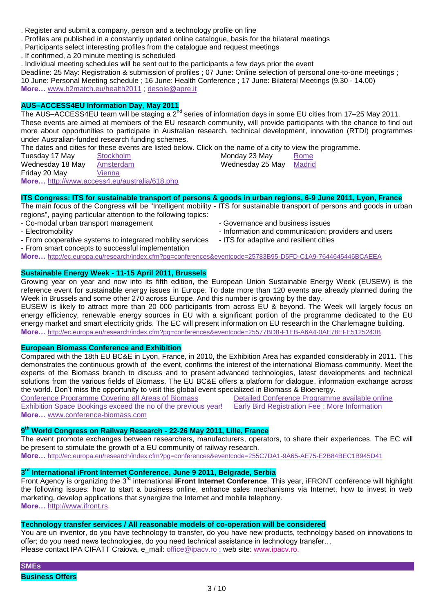- . Register and submit a company, person and a technology profile on line
- . Profiles are published in a constantly updated online catalogue, basis for the bilateral meetings
- . Participants select interesting profiles from the catalogue and request meetings
- . If confirmed, a 20 minute meeting is scheduled
- . Individual meeting schedules will be sent out to the participants a few days prior the event

Deadline: 25 May: Registration & submission of profiles ; 07 June: Online selection of personal one-to-one meetings ; 10 June: Personal Meeting schedule ; 16 June: Health Conference ; 17 June: Bilateral Meetings (9.30 - 14.00) **More…** [www.b2match.eu/health2011](http://www.b2match.eu/health2011) ; [desole@apre.it](mailto:desole%40apre.it)

## **AUS–ACCESS4EU Information Day**, **May 2011**

The AUS-ACCESS4EU team will be staging a 2<sup>nd</sup> series of information days in some EU cities from 17–25 May 2011. These events are aimed at members of the EU research community, will provide participants with the chance to find out more about opportunities to participate in Australian research, technical development, innovation (RTDI) programmes under Australian-funded research funding schemes.

The dates and cities for these events are listed below. Click on the name of a city to view the programme.<br>Tuesday 17 May Stockholm Stockholm Monday 23 May Rome

| Tuesday 17 May   | <b>Stockholm</b>                             | Monday 23 May    | Rome          |
|------------------|----------------------------------------------|------------------|---------------|
| Wednesday 18 May | Amsterdam                                    | Wednesday 25 May | <b>Madrid</b> |
| Friday 20 May    | Vienna                                       |                  |               |
|                  | More http://www.access4.eu/australia/618.php |                  |               |

### **[ITS Congress: ITS for sustainable transport of persons & goods in urban regions, 6-9 June 2011, Lyon, France](http://ec.europa.eu/research/index.cfm?pg=conferences&eventcode=25783B95-D5FD-C1A9-7644645446BCAEEA)**

The main focus of the Congress will be "Intelligent mobility - ITS for sustainable transport of persons and goods in urban regions", paying particular attention to the following topics:

- Co-modal urban transport management

- Electromobility

- Governance and business issues
- Information and communication: providers and users
- From cooperative systems to integrated mobility services - ITS for adaptive and resilient cities
- From smart concepts to successful implementation

**More…** <http://ec.europa.eu/research/index.cfm?pg=conferences&eventcode=25783B95-D5FD-C1A9-7644645446BCAEEA>

## **[Sustainable Energy Week -](http://ec.europa.eu/research/index.cfm?pg=conferences&eventcode=25577BD8-F1EB-A6A4-0AE78EFE5125243B) 11-15 April 2011, Brussels**

Growing year on year and now into its fifth edition, the European Union Sustainable Energy Week (EUSEW) is the reference event for sustainable energy issues in Europe. To date more than 120 events are already planned during the Week in Brussels and some other 270 across Europe. And this number is growing by the day.

EUSEW is likely to attract more than 20 000 participants from across EU & beyond. The Week will largely focus on energy efficiency, renewable energy sources in EU with a significant portion of the programme dedicated to the EU energy market and smart electricity grids. The EC will present information on EU research in the Charlemagne building. **More…** <http://ec.europa.eu/research/index.cfm?pg=conferences&eventcode=25577BD8-F1EB-A6A4-0AE78EFE5125243B>

#### **European Biomass Conference and Exhibition**

Compared with the 18th EU BC&E in Lyon, France, in 2010, the Exhibition Area has expanded considerably in 2011. This demonstrates the continuous growth of the event, confirms the interest of the international Biomass community. Meet the experts of the Biomass branch to discuss and to present advanced technologies, latest developments and technical solutions from the various fields of Biomass. The EU BC&E offers a platform for dialogue, information exchange across the world. Don"t miss the opportunity to visit this global event specialized in Biomass & Bioenergy.

Conference Programme Covering all Areas of Biomass

Exhibition Space Bookings exceed the no of the previous year!

Detailed Conference Programme available online Early Bird Registration Fee ; More Information

**More…** [www.conference-biomass.com](http://www.conference-biomass.com/)

# **9 th [World Congress on Railway Research -](http://ec.europa.eu/research/index.cfm?pg=conferences&eventcode=255C7DA1-9A65-AE75-E2B84BEC1B945D41) 22-26 May 2011, Lille, France**

The event promote exchanges between researchers, manufacturers, operators, to share their experiences. The EC will be present to stimulate the growth of a EU community of railway research.

**More…** <http://ec.europa.eu/research/index.cfm?pg=conferences&eventcode=255C7DA1-9A65-AE75-E2B84BEC1B945D41>

# **3 rd International iFront Internet Conference, June 9 2011, Belgrade, Serbia**

Front Agency is organizing the 3rd international **iFront Internet Conference**. This year, iFRONT conference will highlight the following issues: how to start a business online, enhance sales mechanisms via Internet, how to invest in web marketing, develop applications that synergize the Internet and mobile telephony. **More…** [http://www.ifront.rs.](http://www.ifront.rs/)

# **Technology transfer services / All reasonable models of co-operation will be considered**

You are un inventor, do you have technology to transfer, do you have new products, technology based on innovations to offer; do you need news technologies, do you need technical assistance in technology transfer… Please contact IPA CIFATT Craiova, e\_mail: [office@ipacv.ro](mailto:office@ipacv.ro) ; web site: [www.ipacv.ro.](http://www.ipacv.ro/)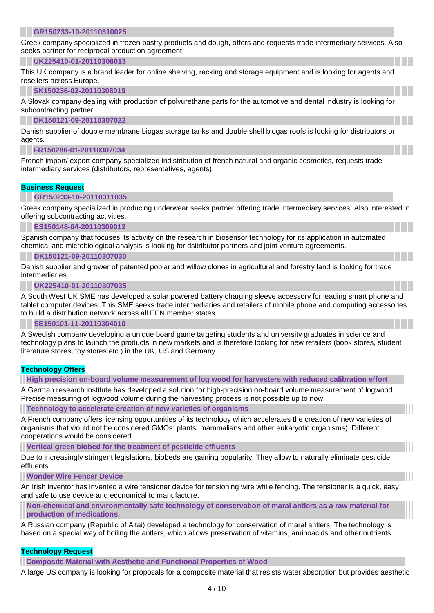#### **[GR150233-10-20110310025](http://www.us-eu-match.com/index.cfm?action=article&publication_id=34205&is_article=1)**

Greek company specialized in frozen pastry products and dough, offers and requests trade intermediary services. Also seeks partner for reciprocal production agreement.

#### **[UK225410-01-20110308013](http://www.us-eu-match.com/index.cfm?action=article&publication_id=34201&is_article=1)**

This UK company is a brand leader for online shelving, racking and storage equipment and is looking for agents and resellers across Europe.

#### **[SK150236-02-20110308019](http://www.us-eu-match.com/index.cfm?action=article&publication_id=34199&is_article=1)**

A Slovak company dealing with production of polyurethane parts for the automotive and dental industry is looking for subcontracting partner.

#### **[DK150121-09-20110307022](http://www.us-eu-match.com/index.cfm?action=article&publication_id=34195&is_article=1)**

Danish supplier of double membrane biogas storage tanks and double shell biogas roofs is looking for distributors or agents.

#### **[FR150286-01-20110307034](http://www.us-eu-match.com/index.cfm?action=article&publication_id=34193&is_article=1)**

French import/ export company specialized indistribution of french natural and organic cosmetics, requests trade intermediary services (distributors, representatives, agents).

## **Business Request**

#### **[GR150233-10-20110311035](http://www.us-eu-match.com/index.cfm?action=article&publication_id=34206&is_article=1)**

Greek company specialized in producing underwear seeks partner offering trade intermediary services. Also interested in offering subcontracting activities.

#### **[ES150148-04-20110309012](http://www.us-eu-match.com/index.cfm?action=article&publication_id=34204&is_article=1)**

Spanish company that focuses its activity on the research in biosensor technology for its application in automated chemical and microbiological analysis is looking for dsitributor partners and joint venture agreements.

#### **[DK150121-09-20110307030](http://www.us-eu-match.com/index.cfm?action=article&publication_id=34194&is_article=1)**

Danish supplier and grower of patented poplar and willow clones in agricultural and forestry land is looking for trade intermediaries.

#### **[UK225410-01-20110307035](http://www.us-eu-match.com/index.cfm?action=article&publication_id=34192&is_article=1)**

A South West UK SME has developed a solar powered battery charging sleeve accessory for leading smart phone and tablet computer devices. This SME seeks trade intermediaries and retailers of mobile phone and computing accessories to build a distribution network across all EEN member states.

#### **[SE150101-11-20110304010](http://www.us-eu-match.com/index.cfm?action=article&publication_id=34188&is_article=1)**

A Swedish company developing a unique board game targeting students and university graduates in science and technology plans to launch the products in new markets and is therefore looking for new retailers (book stores, student literature stores, toy stores etc.) in the UK, US and Germany.

#### **Technology Offers**

**[High precision on-board volume measurement of log wood for harvesters with reduced calibration effort](http://www.us-eu-match.com/index.cfm?action=article&publication_id=34462&is_article=1)**

A German research institute has developed a solution for high-precision on-board volume measurement of logwood. Precise measuring of logwood volume during the harvesting process is not possible up to now.

**[Technology to accelerate creation of new varieties of organisms](http://www.us-eu-match.com/index.cfm?action=article&publication_id=34438&is_article=1)**

A French company offers licensing opportunities of its technology which accelerates the creation of new varieties of organisms that would not be considered GMOs: plants, mammalians and other eukaryotic organisms). Different cooperations would be considered.

**[Vertical green biobed for the treatment of pesticide effluents](http://www.us-eu-match.com/index.cfm?action=article&publication_id=34418&is_article=1)**

Due to increasingly stringent legislations, biobeds are gaining popularity. They allow to naturally eliminate pesticide effluents.

#### **[Wonder Wire Fencer Device](http://www.us-eu-match.com/index.cfm?action=article&publication_id=34413&is_article=1)**

An Irish inventor has invented a wire tensioner device for tensioning wire while fencing. The tensioner is a quick, easy and safe to use device and economical to manufacture.

**[Non-chemical and environmentally safe technology of conservation of maral antlers as a raw material for](http://www.us-eu-match.com/index.cfm?action=article&publication_id=34406&is_article=1)  [production of medications.](http://www.us-eu-match.com/index.cfm?action=article&publication_id=34406&is_article=1)**

A Russian company (Republic of Altai) developed a technology for conservation of maral antlers. The technology is based on a special way of boiling the antlers, which allows preservation of vitamins, aminoacids and other nutrients.

#### **Technology Request**

**[Composite Material with Aesthetic and Functional Properties of Wood](http://www.us-eu-match.com/index.cfm?action=article&publication_id=34045&is_article=1)**

A large US company is looking for proposals for a composite material that resists water absorption but provides aesthetic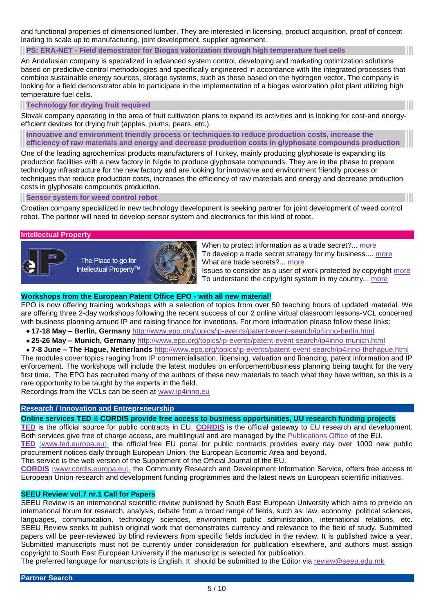and functional properties of dimensioned lumber. They are interested in licensing, product acquisition, proof of concept leading to scale up to manufacturing, joint development, supplier agreement.

**PS: ERA-NET - [Field demostrator for Biogas valorization through high temperature fuel cells](http://www.us-eu-match.com/index.cfm?action=article&publication_id=34343&is_article=1)**

An Andalusian company is specialized in advanced system control, developing and marketing optimization solutions based on predictive control methodologies and specifically engineered in accordance with the integrated processes that combine sustainable energy sources, storage systems, such as those based on the hydrogen vector. The company is looking for a field demonstrator able to participate in the implementation of a biogas valorization pilot plant utilizing high temperature fuel cells.

### **[Technology for drying fruit required](http://www.us-eu-match.com/index.cfm?action=article&publication_id=33620&is_article=1)**

Slovak company operating in the area of fruit cultivation plans to expand its activities and is looking for cost-and energyefficient devices for drying fruit (apples, plums, pears, etc.).

**[Innovative and environment friendly process or techniques to reduce production costs, increase the](http://www.us-eu-match.com/index.cfm?action=article&publication_id=33545&is_article=1)  [efficiency of raw materials and energy and decrease production costs in glyphosate compounds production](http://www.us-eu-match.com/index.cfm?action=article&publication_id=33545&is_article=1)**

One of the leading agrochemical products manufacturers of Turkey, mainly producing glyphosate is expanding its production facilities with a new factory in Nigde to produce glyphosate compounds. They are in the phase to prepare technology infrastructure for the new factory and are looking for innovative and environment friendly process or techniques that reduce production costs, increases the efficiency of raw materials and energy and decrease production costs in glyphosate compounds production.

#### **[Sensor system for weed control robot](http://www.us-eu-match.com/index.cfm?action=article&publication_id=33331&is_article=1)**

Croatian company specialized in new technology development is seeking partner for joint development of weed control robot. The partner will need to develop sensor system and electronics for this kind of robot.

## **Intellectual Property**



The Place to go for Intellectual Property™



When to protect information as a trade secret?... [more](http://www.intracen.org/btp/wtn/newsletters/2009/ip_2.htm) To develop a trade secret strategy for my business.... [more](http://www.intracen.org/btp/wtn/newsletters/2009/ip_1.htm) What are trade secrets?... [more](http://www.intracen.org/btp/wtn/newsletters/2007/3_2/int_prop_35.htm) Issues to consider as a user of work protected by copyright [more](http://www.intracen.org/btp/wtn/newsletters/2007/3_2/int_prop_34.htm) To understand the copyright system in my country... [more](http://www.intracen.org/btp/wtn/newsletters/2007/3_2/int_prop_33.htm)

## **Workshops from the European Patent Office EPO - with all new material!**

EPO is now offering training workshops with a selection of topics from over 50 teaching hours of updated material. We are offering three 2-day workshops following the recent success of our 2 online virtual classroom lessons-VCL concerned with business planning around IP and raising finance for inventions. For more information please follow these links:

- **17-18 May – Berlin, Germany** <http://www.epo.org/topics/ip-events/patent-event-search/ip4inno-berlin.html>
- **25-26 May – Munich, Germany** <http://www.epo.org/topics/ip-events/patent-event-search/ip4inno-munich.html>
- **7-8 June – The Hague, Netherlands** <http://www.epo.org/topics/ip-events/patent-event-search/ip4inno-thehague.html>

The modules cover topics ranging from IP commercialisation, licensing, valuation and financing, patent information and IP enforcement. The workshops will include the latest modules on enforcement/business planning being taught for the very first time. The EPO has recruited many of the authors of these new materials to teach what they have written, so this is a rare opportunity to be taught by the experts in the field.

Recordings from the VCLs can be seen at<www.ip4inno.eu>

## **Research / [Innovation and Entrepreneurship](http://www.linkedin.com/newsArticle?viewDiscussion=&articleID=161206652&gid=49176&type=member&item=25948325&goback=%2Egde_49176_member_25948325)**

## **Online services TED** & **CORDIS provide free access to business opportunities, UU research funding projects**

**[TED](http://ted.europa.eu/TED/main/HomePage.do)** is the official source for public contracts in EU, **[CORDIS](blocked::http://cordis.europa.eu/)** is the official gateway to EU research and development. Both services give free of charge access, are multilingual and are managed by the [Publications Office](http://publications.europa.eu/) of the EU.

**TED** (www.ted.europa.eu), the official free EU portal for public contracts provides every day over 1000 new public procurement notices daily through European Union, the European Economic Area and beyond.

This service is the web version of the Supplement of the Official Journal of the EU.

**CORDIS** (www.cordis.europa.eu), the Community Research and Development Information Service, offers free access to European Union research and development funding programmes and the latest news on European scientific initiatives.

## **SEEU Review vol.7 nr.1 Call for Papers**

SEEU Review is an international scientific review published by South East European University which aims to provide an international forum for research, analysis, debate from a broad range of fields, such as: law, economy, political sciences, languages, communication, technology sciences, environment public sdministration, international relations, etc. SEEU Review seeks to publish original work that demonstrates currency and relevance to the field of study. Submitted papers will be peer-reviewed by blind reviewers from specific fields included in the review. It is published twice a year. Submitted manuscripts must not be currently under consideration for publication elsewhere, and authors must assign copyright to South East European University if the manuscript is selected for publication.

The preferred language for manuscripts is English. It should be submitted to the Editor via [review@seeu.edu.mk](mailto:review%40seeu.edu.mk)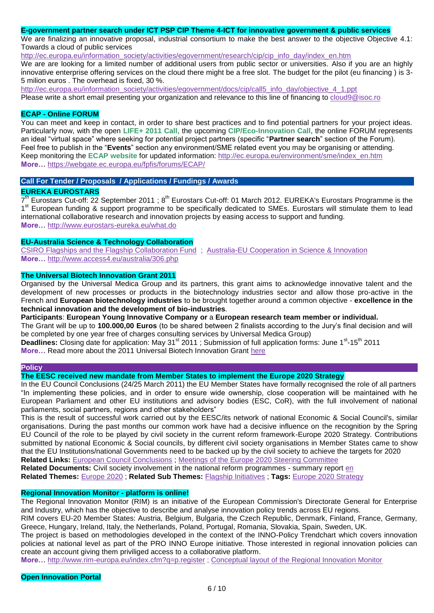## **E-government partner search under ICT PSP CIP Theme 4-ICT for innovative government & public services**

We are finalizing an innovative proposal, industrial consortium to make the best answer to the objective Objective 4.1: Towards a cloud of public services

[http://ec.europa.eu/information\\_society/activities/egovernment/research/cip/cip\\_info\\_day/index\\_en.htm](http://ec.europa.eu/information_society/activities/egovernment/research/cip/cip_info_day/index_en.htm)

We are are looking for a limited number of additional users from public sector or universities. Also if you are an highly innovative enterprise offering services on the cloud there might be a free slot. The budget for the pilot (eu financing ) is 3- 5 milion euros . The overhead is fixed, 30 %.

[http://ec.europa.eu/information\\_society/activities/egovernment/docs/cip/call5\\_info\\_day/objective\\_4\\_1.ppt](http://ec.europa.eu/information_society/activities/egovernment/docs/cip/call5_info_day/objective_4_1.ppt) Please write a short email presenting your organization and relevance to this line of financing to [cloud9@isoc.ro](mailto:cloud9%40isoc.ro)

#### **ECAP - Online FORUM**

You can meet and keep in contact, in order to share best practices and to find potential partners for your project ideas. Particularly now, with the open **LIFE+ 2011 Call,** the upcoming **CIP/Eco-Innovation Call**, the online FORUM represents an ideal "virtual space" where seeking for potential project partners (specific "**Partner search**" section of the Forum). Feel free to publish in the "**Events**" section any environment/SME related event you may be organising or attending. Keep monitoring the **ECAP website** for updated information: [http://ec.europa.eu/environment/sme/index\\_en.htm](http://ec.europa.eu/environment/sme/index_en.htm) **More…** <https://webgate.ec.europa.eu/fpfis/forums/ECAP/>

**Call For Tender / Proposals / Applications / Fundings / Awards**

### **EUREKA EUROSTARS**

7<sup>th</sup> Eurostars Cut-off: 22 September 2011 ; 8<sup>th</sup> Eurostars Cut-off: 01 March 2012. EUREKA's Eurostars Programme is the 1<sup>st</sup> European funding & support programme to be specifically dedicated to SMEs. Eurostars will stimulate them to lead international collaborative research and innovation projects by easing access to support and funding. **More…** <http://www.eurostars-eureka.eu/what.do>

#### **EU-Australia Science & Technology Collaboration**

[CSIRO Flagships and the Flagship Collaboration Fund](http://www.access4.eu/australia/498.php) ; [Australia-EU Cooperation in Science & Innovation](http://www.access4.eu/_img/article/5_Australia-EU_ST_Cooperation_(Access4EU_Kick-Off)_Nov_2009.pdf)  **More…** <http://www.access4.eu/australia/306.php>

#### **The Universal Biotech Innovation Grant 2011**

Organised by the Universal Medica Group and its partners, this grant aims to acknowledge innovative talent and the development of new processes or products in the biotechnology industries sector and allow those pro-active in the French and **European biotechnology industries** to be brought together around a common objective - **excellence in the technical innovation and the development of bio-industries**.

**Participants**: **European Young Innovative Company or** a **European research team member or individual.** The Grant will be up to **100.000,00 Euros** (to be shared between 2 finalists according to the Jury"s final decision and will

be completed by one year free of charges consulting services by Universal Medica Group)

Deadlines: Closing date for application: May 31<sup>st</sup> 2011; Submission of full application forms: June 1<sup>st</sup>-15<sup>th</sup> 2011 **More…** Read more about the 2011 Universal Biotech Innovation Grant [here](http://www.universal-biotech.com/index.php/lang-en/prixdelinnovation/accueil-prixdelinnovation)

#### **Policy**

**The EESC received new mandate from Member States to implement the Europe 2020 Strategy**

In the EU Council Conclusions (24/25 March 2011) the EU Member States have formally recognised the role of all partners "In implementing these policies, and in order to ensure wide ownership, close cooperation will be maintained with he European Parliament and other EU institutions and advisory bodies (ESC, CoR), with the full involvement of national parliaments, social partners, regions and other stakeholders"

This is the result of successful work carried out by the EESC/its network of national Economic & Social Council's, similar organisations. During the past months our common work have had a decisive influence on the recognition by the Spring EU Council of the role to be played by civil society in the current reform framework-Europe 2020 Strategy. Contributions submitted by national Economic & Social councils, by different civil society organisations in Member States came to show that the EU Institutions/national Governments need to be backed up by the civil society to achieve the targets for 2020 **Related Links:** [European Council Conclusions](http://www.consilium.europa.eu/uedocs/cms_data/docs/pressdata/en/ec/120296.pdf) ; [Meetings of the Europe 2020 Steering Committee](http://www.eesc.europa.eu/?i=portal.en.europe-2020-meetings)

**Related Documents:** Civil society involvement in the national reform programmes - summary report [en](http://www.eesc.europa.eu/resources/docs/europe-2020-strategy.pdf)

**Related Themes:** [Europe 2020](http://www.eesc.europa.eu/?i=portal.en.theme-europe-2020) ; **Related Sub Themes:** [Flagship Initiatives](http://www.eesc.europa.eu/?i=portal.en.theme-europe-2020-flagship-initiatives) ; **Tags:** [Europe 2020 Strategy](http://www.eesc.europa.eu/?i=portal.en.tags&t=Europe%202020%20Strategy)

# **Regional Innovation Monitor - platform is online!**

The Regional Innovation Monitor (RIM) is an initiative of the European Commission's Directorate General for Enterprise and Industry, which has the objective to describe and analyse innovation policy trends across EU regions.

RIM covers EU-20 Member States: Austria, Belgium, Bulgaria, the Czech Republic, Denmark, Finland, France, Germany, Greece, Hungary, Ireland, Italy, the Netherlands, Poland, Portugal, Romania, Slovakia, Spain, Sweden, UK.

The project is based on methodologies developed in the context of the INNO-Policy Trendchart which covers innovation policies at national level as part of the PRO INNO Europe initiative. Those interested in regional innovation policies can create an account giving them priviliged access to a collaborative platform.

**More…** [http://www.rim-europa.eu/index.cfm?q=p.register](http://www.linkedin.com/redirect?url=http%3A%2F%2Fwww%2Erim-europa%2Eeu%2Findex%2Ecfm%3Fq%3Dp%2Eregister&urlhash=sMgh&_t=tracking_anet) [; Conceptual layout of the Regional Innovation Monitor](http://www.rim-europa.eu/index.cfm?q=p.file&r=75c95b91c02322147e0c0ae80f2e83d8)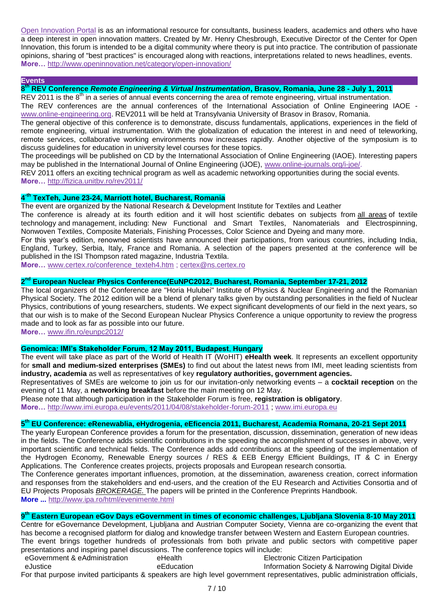[Open Innovation Portal](http://www.openinnovation.net/) is as an informational resource for consultants, business leaders, academics and others who have a deep interest in open innovation matters. Created by Mr. Henry Chesbrough, Executive Director of the Center for Open Innovation, this forum is intended to be a digital community where theory is put into practice. The contribution of passionate opinions, sharing of "best practices" is encouraged along with reactions, interpretations related to news headlines, events. **More…** <http://www.openinnovation.net/category/open-innovation/>

#### **Events**

**8 th REV Conference** *Remote Engineering & Virtual Instrumentation***, Brasov, Romania, June 28 - July 1, 2011**

REV 2011 is the 8<sup>th</sup> in a series of annual events concerning the area of remote engineering, virtual instrumentation. The REV conferences are the annual conferences of the International Association of Online Engineering IAOE [www.online-engineering.org.](http://www.online-engineering.org/) REV2011 will be held at Transylvania University of Brasov in Brasov, Romania.

The general objective of this conference is to demonstrate, discuss fundamentals, applications, experiences in the field of remote engineering, virtual instrumentation. With the globalization of education the interest in and need of teleworking, remote services, collaborative working environments now increases rapidly. Another objective of the symposium is to discuss guidelines for education in university level courses for these topics.

The proceedings will be published on CD by the International Association of Online Engineering (IAOE). Interesting papers may be published in the International Journal of Online Engineering (iJOE), [www.online-journals.org/i-joe/.](http://fizica.unitbv.ro/rev2011/www.online-journals.org/i-joe/)

REV 2011 offers an exciting technical program as well as academic networking opportunities during the social events. **More…** <http://fizica.unitbv.ro/rev2011/>

## **4 -th TexTeh, June 23-24, Marriott hotel, Bucharest, Romania**

The event are organized by the National Research & Development Institute for Textiles and Leather

The conference is already at its fourth edition and it will host scientific debates on subjects from all areas of textile technology and management, including: New Functional and Smart Textiles, Nanomaterials and Electrospinning, Nonwoven Textiles, Composite Materials, Finishing Processes, Color Science and Dyeing and many more.

For this year"s edition, renowned scientists have announced their participations, from various countries, including India, England, Turkey, Serbia, Italy, France and Romania. A selection of the papers presented at the conference will be published in the ISI Thompson rated magazine, Industria Textila.

**More…** [www.certex.ro/conference\\_texteh4.htm](http://www.certex.ro/conference_texteh4.htm) ; [certex@ns.certex.ro](mailto:certex@ns.certex.ro)

# **2 nd European Nuclear Physics Conference(EuNPC2012, Bucharest, Romania, September 17-21, 2012**

The local organizers of the Conference are "Horia Hulubei" Institute of Physics & Nuclear Engineering and the Romanian Physical Society. The 2012 edition will be a blend of plenary talks given by outstanding personalities in the field of Nuclear Physics, contributions of young researchers, students. We expect significant developments of our field in the next years, so that our wish is to make of the Second European Nuclear Physics Conference a unique opportunity to review the progress made and to look as far as possible into our future.

**More…** [www.ifin.ro/eunpc2012/](http://www.ifin.ro/eunpc2012/)

## **Genomica: IMI's Stakeholder Forum, 12 May 2011, Budapest**, **Hungary**

The event will take place as part of the World of Health IT (WoHIT) **eHealth week**. It represents an excellent opportunity for **small and medium-sized enterprises (SMEs)** to find out about the latest news from IMI, meet leading scientists from **industry, academia** as well as representatives of key **regulatory authorities, government agencies.** 

Representatives of SMEs are welcome to join us for our invitation-only networking events – a **cocktail reception** on the evening of 11 May, a **networking breakfast** before the main meeting on 12 May.

Please note that although participation in the Stakeholder Forum is free, **registration is obligatory**.

**More…** <http://www.imi.europa.eu/events/2011/04/08/stakeholder-forum-2011> ;<www.imi.europa.eu>

## **5 th EU Conference: eRenewablia, eHydrogenia, eEficencia 2011, Bucharest, Academia Romana, 20-21 Sept 2011**

The yearly European Conference provides a forum for the presentation, discussion, dissemination, generation of new ideas in the fields. The Conference adds scientific contributions in the speeding the accomplishment of successes in above, very important scientific and technical fields. The Conference adds add contributions at the speeding of the implementation of the Hydrogen Economy, Renewable Energy sources / RES & EEB Energy Efficient Buildings, IT & C in Energy Applications. The Conference creates projects, projects proposals and European research consortia.

The Conference generates important influences, promotion, at the dissemination, awareness creation, correct information and responses from the stakeholders and end-users, and the creation of the EU Research and Activities Consortia and of EU Projects Proposals *BROKERAGE.* The papers will be printed in the Conference Preprints Handbook. **More ...** <http://www.ipa.ro/html/evenimente.html>

# **9 th Eastern European eGov Days eGovernment in times of economic challenges, Ljubljana Slovenia 8-10 May 2011**

Centre for eGovernance Development, Ljubljana and Austrian Computer Society, Vienna are co-organizing the event that has become a recognised platform for dialog and knowledge transfer between Western and Eastern European countries. The event brings together hundreds of professionals from both private and public sectors with competitive paper presentations and inspiring panel discussions. The conference topics will include:

eGovernment & eAdministration eJustice eHealth eEducation Electronic Citizen Participation Information Society & Narrowing Digital Divide For that purpose invited participants & speakers are high level government representatives, public administration officials,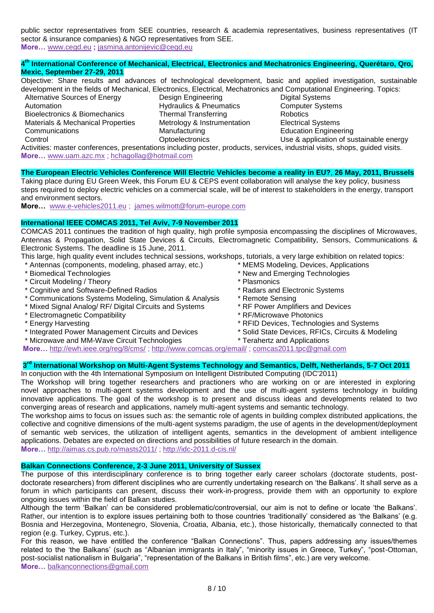public sector representatives from SEE countries, research & academia representatives, business representatives (IT sector & insurance companies) & NGO representatives from SEE. **More…** [www.cegd.eu](http://www.cegd.eu/) **;** [jasmina.antonijevic@cegd.eu](mailto:jasmina.antonijevic@cegd.eu)

#### **4 th International Conference of Mechanical, Electrical, Electronics and Mechatronics Engineering, Querétaro, Qro, Mexic, September 27-29, 2011**

Objective: Share results and advances of technological development, basic and applied investigation, sustainable development in the fields of Mechanical, Electronics, Electrical, Mechatronics and Computational Engineering. Topics:

Alternative Sources of Energy Automation Bioelectronics & Biomechanics Materials & Mechanical Properties **Communications Control** 

Design Engineering Hydraulics & Pneumatics Thermal Transferring Metrology & Instrumentation **Manufacturing** Optoelectronics

Digital Systems Computer Systems **Robotics** Electrical Systems Education Engineering Use & application of sustainable energy

Activities: master conferences, presentations including poster, products, services, industrial visits, shops, guided visits. **More…** [www.uam.azc.mx](http://www.uam.azc.mx/) ; [hchagollag@hotmail.com](mailto:hchagollag@hotmail.com)

## **The European Electric Vehicles Conference Will Electric Vehicles become a reality in EU?**, **26 May, 2011, Brussels**

Taking place during EU Green Week, this Forum EU & CEPS event collaboration will analyse the key policy, business steps required to deploy electric vehicles on a commercial scale, will be of interest to stakeholders in the energy, transport and environment sectors.

**More…** [www.e-vehicles2011.eu](http://www.eu-ems.com/summary.asp?event_id=72&page_id=518) ; [james.wilmott@forum-europe.com](mailto:james.wilmott@forum-europe.com)

### **International IEEE COMCAS 2011, Tel Aviv, 7-9 November 2011**

COMCAS 2011 continues the tradition of high quality, high profile symposia encompassing the disciplines of Microwaves, Antennas & Propagation, Solid State Devices & Circuits, Electromagnetic Compatibility, Sensors, Communications & Electronic Systems. The deadline is 15 June, 2011.

- This large, high quality event includes technical sessions, workshops, tutorials, a very large exhibition on related topics: \* MEMS Modeling, Devices, Applications
- \* Antennas (components, modeling, phased array, etc.)
- \* Biomedical Technologies
- \* Circuit Modeling / Theory
- \* Cognitive and Software-Defined Radios
- \* Communications Systems Modeling, Simulation & Analysis
- \* Mixed Signal Analog/ RF/ Digital Circuits and Systems
- \* Electromagnetic Compatibility
- \* Energy Harvesting
- \* Integrated Power Management Circuits and Devices
- \* Microwave and MM-Wave Circuit Technologies
- \* New and Emerging Technologies \* Plasmonics \* Radars and Electronic Systems
- \* Remote Sensing
- \* RF Power Amplifiers and Devices
- \* RF/Microwave Photonics
- \* RFID Devices, Technologies and Systems
- \* Solid State Devices, RFICs, Circuits & Modeling
- \* Terahertz and Applications

**More…** <http://ewh.ieee.org/reg/8/cms/> ;<http://www.comcas.org/email/> ; [comcas2011.tpc@gmail.com](mailto:comcas2011.tpc@gmail.com)

## **3 rd International Workshop on Multi-Agent Systems Technology and Semantics, Delft, Netherlands, 5-7 Oct 2011**

In conjuction with the 4th International Symposium on Intelligent Distributed Computing (IDC'2011)

The Workshop will bring together researchers and practioners who are working on or are interested in exploring novel approaches to multi-agent systems development and the use of multi-agent systems technology in building innovative applications. The goal of the workshop is to present and discuss ideas and developments related to two converging areas of research and applications, namely multi-agent systems and semantic technology.

The workshop aims to focus on issues such as: the semantic role of agents in building complex distributed applications, the collective and cognitive dimensions of the multi-agent systems paradigm, the use of agents in the development/deployment of semantic web services, the utilization of intelligent agents, semantics in the development of ambient intelligence applications. Debates are expected on directions and possibilities of future research in the domain. **More…** <http://aimas.cs.pub.ro/masts2011/> ;<http://idc-2011.d-cis.nl/>

## **Balkan Connections Conference, 2-3 June 2011, University of Sussex**

The purpose of this interdisciplinary conference is to bring together early career scholars (doctorate students, postdoctorate researchers) from different disciplines who are currently undertaking research on 'the Balkans'. It shall serve as a forum in which participants can present, discuss their work-in-progress, provide them with an opportunity to explore ongoing issues within the field of Balkan studies.

Although the term "Balkan" can be considered problematic/controversial, our aim is not to define or locate "the Balkans". Rather, our intention is to explore issues pertaining both to those countries "traditionally" considered as "the Balkans" (e.g. Bosnia and Herzegovina, Montenegro, Slovenia, Croatia, Albania, etc.), those historically, thematically connected to that region (e.g. Turkey, Cyprus, etc.).

For this reason, we have entitled the conference "Balkan Connections". Thus, papers addressing any issues/themes related to the "the Balkans" (such as "Albanian immigrants in Italy", "minority issues in Greece, Turkey", "post-Ottoman, post-socialist nationalism in Bulgaria", "representation of the Balkans in British films", etc.) are very welcome. **More…** [balkanconnections@gmail.com](mailto:balkanconnections%40gmail.com)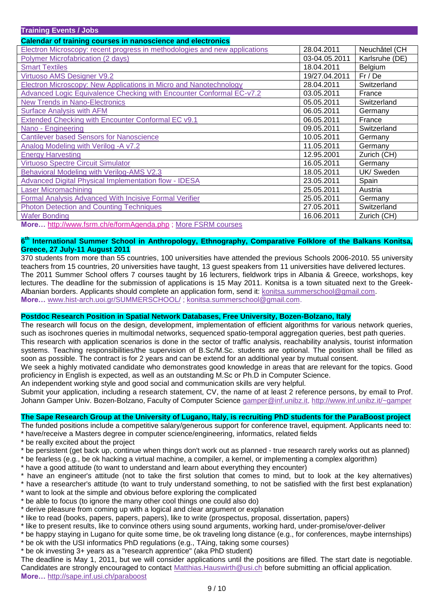| <b>Training Events / Jobs</b>                                              |               |                |  |  |
|----------------------------------------------------------------------------|---------------|----------------|--|--|
| <b>Calendar of training courses in nanoscience and electronics</b>         |               |                |  |  |
| Electron Microscopy: recent progress in methodologies and new applications | 28.04.2011    | Neuchâtel (CH  |  |  |
| Polymer Microfabrication (2 days)                                          | 03-04.05.2011 | Karlsruhe (DE) |  |  |
| <b>Smart Textiles</b>                                                      | 18.04.2011    | Belgium        |  |  |
| Virtuoso AMS Designer V9.2                                                 | 19/27.04.2011 | Fr/De          |  |  |
| <b>Electron Microscopy: New Applications in Micro and Nanotechnology</b>   | 28.04.2011    | Switzerland    |  |  |
| Advanced Logic Equivalence Checking with Encounter Conformal EC-v7.2       | 03.05.2011    | France         |  |  |
| <b>New Trends in Nano-Electronics</b>                                      | 05.05.2011    | Switzerland    |  |  |
| <b>Surface Analysis with AFM</b>                                           | 06.05.2011    | Germany        |  |  |
| Extended Checking with Encounter Conformal EC v9.1                         | 06.05.2011    | France         |  |  |
| Nano - Engineering                                                         | 09.05.2011    | Switzerland    |  |  |
| <b>Cantilever based Sensors for Nanoscience</b>                            | 10.05.2011    | Germany        |  |  |
| Analog Modeling with Verilog - A v7.2                                      | 11.05.2011    | Germany        |  |  |
| <b>Energy Harvesting</b>                                                   | 12.95.2001    | Zurich (CH)    |  |  |
| <b>Virtuoso Spectre Circuit Simulator</b>                                  | 16.05.2011    | Germany        |  |  |
| Behavioral Modeling with Verilog-AMS V2.3                                  | 18.05.2011    | UK/ Sweden     |  |  |
| <b>Advanced Digital Physical Implementation flow - IDESA</b>               | 23.05.2011    | Spain          |  |  |
| <b>Laser Micromachining</b>                                                | 25.05.2011    | Austria        |  |  |
| <b>Formal Analysis Advanced With Incisive Formal Verifier</b>              | 25.05.2011    | Germany        |  |  |
| <b>Photon Detection and Counting Techniques</b>                            | 27.05.2011    | Switzerland    |  |  |
| <b>Wafer Bonding</b>                                                       | 16.06.2011    | Zurich (CH)    |  |  |

**More…** <http://www.fsrm.ch/e/formAgenda.php> ; [More FSRM courses](http://www.fsrm.ch/e/formAgenda.php)

#### **6 th International Summer School in Anthropology, Ethnography, Comparative Folklore of the Balkans Konitsa, Greece, 27 July-11 August 2011**

370 students from more than 55 countries, 100 universities have attended the previous Schools 2006-2010. 55 university teachers from 15 countries, 20 universities have taught, 13 guest speakers from 11 universities have delivered lectures. The 2011 Summer School offers 7 courses taught by 16 lecturers, fieldwork trips in Albania & Greece, workshops, key lectures. The deadline for the submission of applications is 15 May 2011. Konitsa is a town situated next to the Greek-Albanian borders. Applicants should complete an application form, send it: [konitsa.summerschool@gmail.com.](mailto:konitsa.summerschool@gmail.com) **More…** [www.hist-arch.uoi.gr/SUMMERSCHOOL/](http://www.hist-arch.uoi.gr/SUMMERSCHOOL/) ; [konitsa.summerschool@gmail.com.](mailto:konitsa.summerschool%40gmail.com)

# **Postdoc Research Position in Spatial Network Databases, Free University, Bozen-Bolzano, Italy**

The research will focus on the design, development, implementation of efficient algorithms for various network queries, such as isochrones queries in multimodal networks, sequenced spatio-temporal aggregation queries, best path queries. This research with application scenarios is done in the sector of traffic analysis, reachability analysis, tourist information systems. Teaching responsibilities/the supervision of B.Sc/M.Sc. students are optional. The position shall be filled as

soon as possible. The contract is for 2 years and can be extend for an additional year by mutual consent. We seek a highly motivated candidate who demonstrates good knowledge in areas that are relevant for the topics. Good

proficiency in English is expected, as well as an outstanding M.Sc or Ph.D in Computer Science.

An independent working style and good social and communication skills are very helpful.

Submit your application, including a research statement, CV, the name of at least 2 reference persons, by email to Prof. Johann Gamper Univ. Bozen-Bolzano, Faculty of Computer Science [gamper@inf.unibz.it,](mailto:gamper%40inf.unibz.it)<http://www.inf.unibz.it/~gamper>

## **The Sape Research Group at the University of Lugano, Italy, is recruiting PhD students for the ParaBoost project**

The funded positions include a competitive salary/generous support for conference travel, equipment. Applicants need to:

- \* have/receive a Masters degree in computer science/engineering, informatics, related fields
- \* be really excited about the project
- \* be persistent (get back up, continue when things don't work out as planned true research rarely works out as planned)
- \* be fearless (e.g., be ok hacking a virtual machine, a compiler, a kernel, or implementing a complex algorithm)
- \* have a good attitude (to want to understand and learn about everything they encounter)
- \* have an engineer's attitude (not to take the first solution that comes to mind, but to look at the key alternatives)
- \* have a researcher's attitude (to want to truly understand something, to not be satisfied with the first best explanation)
- \* want to look at the simple and obvious before exploring the complicated
- \* be able to focus (to ignore the many other cool things one could also do)
- \* derive pleasure from coming up with a logical and clear argument or explanation
- \* like to read (books, papers, papers, papers), like to write (prospectus, proposal, dissertation, papers)
- \* like to present results, like to convince others using sound arguments, working hard, under-promise/over-deliver
- \* be happy staying in Lugano for quite some time, be ok traveling long distance (e.g., for conferences, maybe internships) \* be ok with the USI informatics PhD regulations (e.g., TAing, taking some courses)
- \* be ok investing 3+ years as a "research apprentice" (aka PhD student)
- The deadline is May 1, 2011, but we will consider applications until the positions are filled. The start date is negotiable. Candidates are strongly encouraged to contact [Matthias.Hauswirth@usi.ch](mailto:Matthias.Hauswirth%40usi.ch) before submitting an official application. **More…** <http://sape.inf.usi.ch/paraboost>